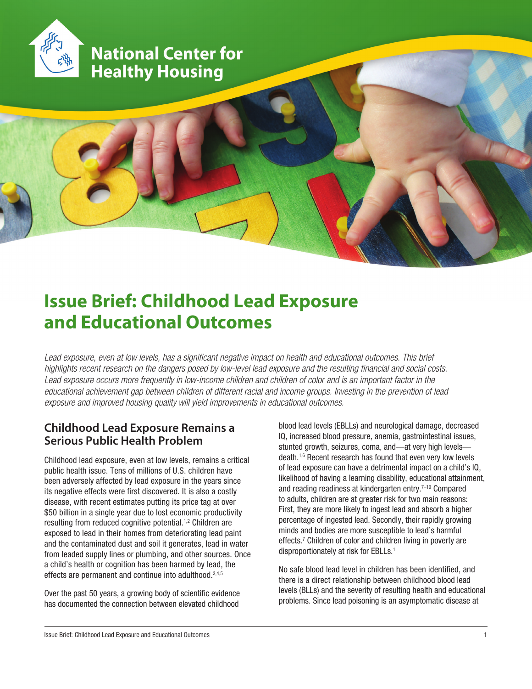

# **National Center for Healthy Housing**

# **Issue Brief: Childhood Lead Exposure and Educational Outcomes**

Lead exposure, even at low levels, has a significant negative impact on health and educational outcomes. This brief *highlights recent research on the dangers posed by low-level lead exposure and the resulting financial and social costs.*  Lead exposure occurs more frequently in low-income children and children of color and is an important factor in the *educational achievement gap between children of different racial and income groups. Investing in the prevention of lead exposure and improved housing quality will yield improvements in educational outcomes.*

# **Childhood Lead Exposure Remains a Serious Public Health Problem**

Childhood lead exposure, even at low levels, remains a critical public health issue. Tens of millions of U.S. children have been adversely affected by lead exposure in the years since its negative effects were first discovered. It is also a costly disease, with recent estimates putting its price tag at over \$50 billion in a single year due to lost economic productivity resulting from reduced cognitive potential.<sup>1,2</sup> Children are exposed to lead in their homes from deteriorating lead paint and the contaminated dust and soil it generates, lead in water from leaded supply lines or plumbing, and other sources. Once a child's health or cognition has been harmed by lead, the effects are permanent and continue into adulthood.3,4,5

Over the past 50 years, a growing body of scientific evidence has documented the connection between elevated childhood

blood lead levels (EBLLs) and neurological damage, decreased IQ, increased blood pressure, anemia, gastrointestinal issues, stunted growth, seizures, coma, and—at very high levels death.1,6 Recent research has found that even very low levels of lead exposure can have a detrimental impact on a child's IQ, likelihood of having a learning disability, educational attainment, and reading readiness at kindergarten entry.<sup>7-10</sup> Compared to adults, children are at greater risk for two main reasons: First, they are more likely to ingest lead and absorb a higher percentage of ingested lead. Secondly, their rapidly growing minds and bodies are more susceptible to lead's harmful effects.<sup>7</sup> Children of color and children living in poverty are disproportionately at risk for EBLLs.<sup>1</sup>

No safe blood lead level in children has been identified, and there is a direct relationship between childhood blood lead levels (BLLs) and the severity of resulting health and educational problems. Since lead poisoning is an asymptomatic disease at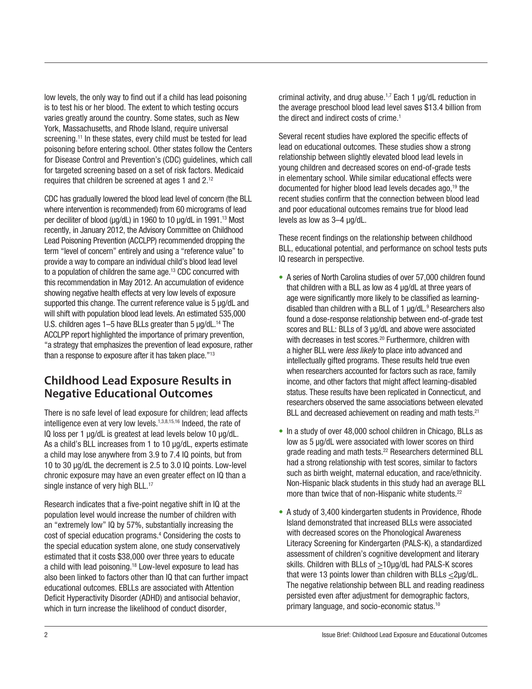low levels, the only way to find out if a child has lead poisoning is to test his or her blood. The extent to which testing occurs varies greatly around the country. Some states, such as New York, Massachusetts, and Rhode Island, require universal screening.<sup>11</sup> In these states, every child must be tested for lead poisoning before entering school. Other states follow the Centers for Disease Control and Prevention's (CDC) guidelines, which call for targeted screening based on a set of risk factors. Medicaid requires that children be screened at ages 1 and 2.12

CDC has gradually lowered the blood lead level of concern (the BLL where intervention is recommended) from 60 micrograms of lead per deciliter of blood (μg/dL) in 1960 to 10 μg/dL in 1991.13 Most recently, in January 2012, the Advisory Committee on Childhood Lead Poisoning Prevention (ACCLPP) recommended dropping the term "level of concern" entirely and using a "reference value" to provide a way to compare an individual child's blood lead level to a population of children the same age.<sup>13</sup> CDC concurred with this recommendation in May 2012. An accumulation of evidence showing negative health effects at very low levels of exposure supported this change. The current reference value is 5 μg/dL and will shift with population blood lead levels. An estimated 535,000 U.S. children ages  $1-5$  have BLLs greater than  $5 \mu g/dL$ .<sup>14</sup> The ACCLPP report highlighted the importance of primary prevention, "a strategy that emphasizes the prevention of lead exposure, rather than a response to exposure after it has taken place."<sup>13</sup>

# **Childhood Lead Exposure Results in Negative Educational Outcomes**

There is no safe level of lead exposure for children; lead affects intelligence even at very low levels. $1,3,8,15,16$  Indeed, the rate of IQ loss per 1 μg/dL is greatest at lead levels below 10 μg/dL. As a child's BLL increases from 1 to 10 μg/dL, experts estimate a child may lose anywhere from 3.9 to 7.4 IQ points, but from 10 to 30 μg/dL the decrement is 2.5 to 3.0 IQ points. Low-level chronic exposure may have an even greater effect on IQ than a single instance of very high BLL.<sup>17</sup>

Research indicates that a five-point negative shift in IQ at the population level would increase the number of children with an "extremely low" IQ by 57%, substantially increasing the cost of special education programs.4 Considering the costs to the special education system alone, one study conservatively estimated that it costs \$38,000 over three years to educate a child with lead poisoning.<sup>18</sup> Low-level exposure to lead has also been linked to factors other than IQ that can further impact educational outcomes. EBLLs are associated with Attention Deficit Hyperactivity Disorder (ADHD) and antisocial behavior, which in turn increase the likelihood of conduct disorder,

criminal activity, and drug abuse.1,7 Each 1 μg/dL reduction in the average preschool blood lead level saves \$13.4 billion from the direct and indirect costs of crime.<sup>1</sup>

Several recent studies have explored the specific effects of lead on educational outcomes. These studies show a strong relationship between slightly elevated blood lead levels in young children and decreased scores on end-of-grade tests in elementary school. While similar educational effects were documented for higher blood lead levels decades ago,<sup>19</sup> the recent studies confirm that the connection between blood lead and poor educational outcomes remains true for blood lead levels as low as 3–4 μg/dL.

These recent findings on the relationship between childhood BLL, educational potential, and performance on school tests puts IQ research in perspective.

- A series of North Carolina studies of over 57,000 children found that children with a BLL as low as 4 μg/dL at three years of age were significantly more likely to be classified as learningdisabled than children with a BLL of 1  $\mu$ g/dL.<sup>9</sup> Researchers also found a dose-response relationship between end-of-grade test scores and BLL: BLLs of 3 μg/dL and above were associated with decreases in test scores.<sup>20</sup> Furthermore, children with a higher BLL were *less likely* to place into advanced and intellectually gifted programs. These results held true even when researchers accounted for factors such as race, family income, and other factors that might affect learning-disabled status. These results have been replicated in Connecticut, and researchers observed the same associations between elevated BLL and decreased achievement on reading and math tests.<sup>21</sup>
- In a study of over 48,000 school children in Chicago, BLLs as low as 5 μg/dL were associated with lower scores on third grade reading and math tests.<sup>22</sup> Researchers determined BLL had a strong relationship with test scores, similar to factors such as birth weight, maternal education, and race/ethnicity. Non-Hispanic black students in this study had an average BLL more than twice that of non-Hispanic white students.<sup>22</sup>
- A study of 3,400 kindergarten students in Providence, Rhode Island demonstrated that increased BLLs were associated with decreased scores on the Phonological Awareness Literacy Screening for Kindergarten (PALS-K), a standardized assessment of children's cognitive development and literary skills. Children with BLLs of  $\geq$ 10µg/dL had PALS-K scores that were 13 points lower than children with BLLs  $\leq$ 2µg/dL. The negative relationship between BLL and reading readiness persisted even after adjustment for demographic factors, primary language, and socio-economic status.10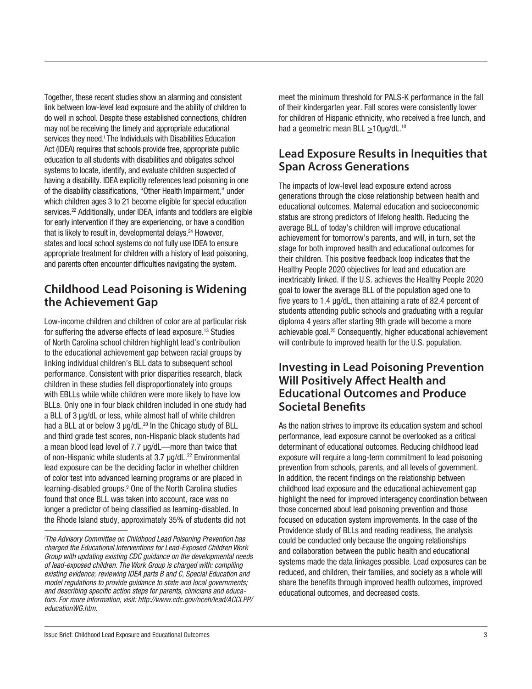Together, these recent studies show an alarming and consistent link between low-level lead exposure and the ability of children to do well in school. Despite these established connections, children may not be receiving the timely and appropriate educational services they need. The Individuals with Disabilities Education Act (IDEA) requires that schools provide free, appropriate public education to all students with disabilities and obligates school systems to locate, identify, and evaluate children suspected of having a disability. IDEA explicitly references lead poisoning in one of the disability classifications, "Other Health Impairment," under which children ages 3 to 21 become eligible for special education services.<sup>22</sup> Additionally, under IDEA, infants and toddlers are eligible for early intervention if they are experiencing, or have a condition that is likely to result in, developmental delays.<sup>24</sup> However, states and local school systems do not fully use IDEA to ensure appropriate treatment for children with a history of lead poisoning, and parents often encounter difficulties navigating the system.

# **Childhood Lead Poisoning is Widening the Achievement Gap**

Low-income children and children of color are at particular risk for suffering the adverse effects of lead exposure.<sup>13</sup> Studies of North Carolina school children highlight lead's contribution to the educational achievement gap between racial groups by linking individual children's BLL data to subsequent school performance. Consistent with prior disparities research, black children in these studies fell disproportionately into groups with EBLLs while white children were more likely to have low BLLs. Only one in four black children included in one study had a BLL of 3 μg/dL or less, while almost half of white children had a BLL at or below 3 μg/dL.<sup>20</sup> In the Chicago study of BLL and third grade test scores, non-Hispanic black students had a mean blood lead level of 7.7 μg/dL—more than twice that of non-Hispanic white students at  $3.7 \mu g/dL$ .<sup>22</sup> Environmental lead exposure can be the deciding factor in whether children of color test into advanced learning programs or are placed in learning-disabled groups.<sup>9</sup> One of the North Carolina studies found that once BLL was taken into account, race was no longer a predictor of being classified as learning-disabled. In the Rhode Island study, approximately 35% of students did not meet the minimum threshold for PALS-K performance in the fall of their kindergarten year. Fall scores were consistently lower for children of Hispanic ethnicity, who received a free lunch, and had a geometric mean BLL  $\geq$ 10µg/dL.<sup>10</sup>

# **Lead Exposure Results in Inequities that Span Across Generations**

The impacts of low-level lead exposure extend across generations through the close relationship between health and educational outcomes. Maternal education and socioeconomic status are strong predictors of lifelong health. Reducing the average BLL of today's children will improve educational achievement for tomorrow's parents, and will, in turn, set the stage for both improved health and educational outcomes for their children. This positive feedback loop indicates that the Healthy People 2020 objectives for lead and education are inextricably linked. If the U.S. achieves the Healthy People 2020 goal to lower the average BLL of the population aged one to five years to 1.4 μg/dL, then attaining a rate of 82.4 percent of students attending public schools and graduating with a regular diploma 4 years after starting 9th grade will become a more achievable goal.25 Consequently, higher educational achievement will contribute to improved health for the U.S. population.

### **Investing in Lead Poisoning Prevention Will Positively Affect Health and Educational Outcomes and Produce Societal Benefits**

As the nation strives to improve its education system and school performance, lead exposure cannot be overlooked as a critical determinant of educational outcomes. Reducing childhood lead exposure will require a long-term commitment to lead poisoning prevention from schools, parents, and all levels of government. In addition, the recent findings on the relationship between childhood lead exposure and the educational achievement gap highlight the need for improved interagency coordination between those concerned about lead poisoning prevention and those focused on education system improvements. In the case of the Providence study of BLLs and reading readiness, the analysis could be conducted only because the ongoing relationships and collaboration between the public health and educational systems made the data linkages possible. Lead exposures can be reduced, and children, their families, and society as a whole will share the benefits through improved health outcomes, improved educational outcomes, and decreased costs.

*i The Advisory Committee on Childhood Lead Poisoning Prevention has charged the Educational Interventions for Lead-Exposed Children Work Group with updating existing CDC guidance on the developmental needs of lead-exposed children. The Work Group is charged with: compiling existing evidence; reviewing IDEA parts B and C, Special Education and model regulations to provide guidance to state and local governments; and describing specific action steps for parents, clinicians and educators. For more information, visit: http://www.cdc.gov/nceh/lead/ACCLPP/ educationWG.htm.*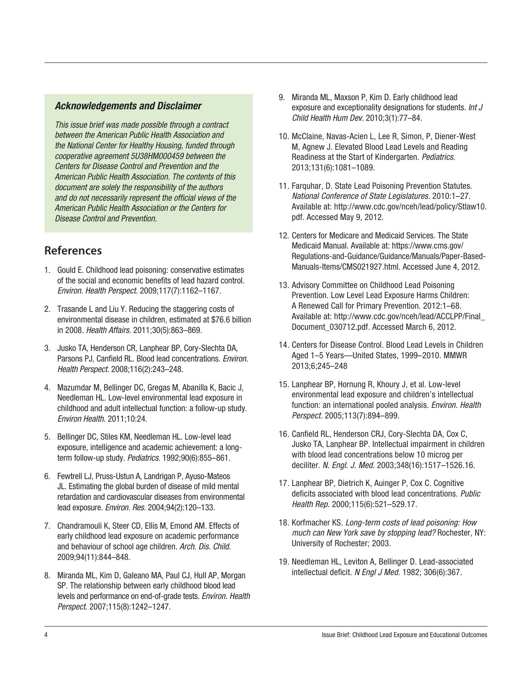#### *Acknowledgements and Disclaimer*

*This issue brief was made possible through a contract between the American Public Health Association and the National Center for Healthy Housing, funded through cooperative agreement 5U38HM000459 between the Centers for Disease Control and Prevention and the American Public Health Association. The contents of this document are solely the responsibility of the authors and do not necessarily represent the official views of the American Public Health Association or the Centers for Disease Control and Prevention.*

# **References**

- 1. Gould E. Childhood lead poisoning: conservative estimates of the social and economic benefits of lead hazard control. *Environ. Health Perspect.* 2009;117(7):1162–1167.
- 2. Trasande L and Liu Y. Reducing the staggering costs of environmental disease in children, estimated at \$76.6 billion in 2008. *Health Affairs.* 2011;30(5):863–869.
- 3. Jusko TA, Henderson CR, Lanphear BP, Cory-Slechta DA, Parsons PJ, Canfield RL. Blood lead concentrations. *Environ. Health Perspect.* 2008;116(2):243–248.
- 4. Mazumdar M, Bellinger DC, Gregas M, Abanilla K, Bacic J, Needleman HL. Low-level environmental lead exposure in childhood and adult intellectual function: a follow-up study. *Environ Health*. 2011;10:24.
- 5. Bellinger DC, Stiles KM, Needleman HL. Low-level lead exposure, intelligence and academic achievement: a longterm follow-up study. *Pediatrics*. 1992;90(6):855–861.
- 6. Fewtrell LJ, Pruss-Ustun A, Landrigan P, Ayuso-Mateos JL. Estimating the global burden of disease of mild mental retardation and cardiovascular diseases from environmental lead exposure. *Environ. Res.* 2004;94(2):120–133.
- 7. Chandramouli K, Steer CD, Ellis M, Emond AM. Effects of early childhood lead exposure on academic performance and behaviour of school age children. *Arch. Dis. Child.* 2009;94(11):844–848.
- 8. Miranda ML, Kim D, Galeano MA, Paul CJ, Hull AP, Morgan SP. The relationship between early childhood blood lead levels and performance on end-of-grade tests. *Environ. Health Perspect.* 2007;115(8):1242–1247.
- 9. Miranda ML, Maxson P, Kim D. Early childhood lead exposure and exceptionality designations for students. *Int J Child Health Hum Dev.* 2010;3(1):77–84.
- 10. McClaine, Navas-Acien L, Lee R, Simon, P, Diener-West M, Agnew J. Elevated Blood Lead Levels and Reading Readiness at the Start of Kindergarten. *Pediatrics*. 2013;131(6):1081–1089.
- 11. Farquhar, D. State Lead Poisoning Prevention Statutes. *National Conference of State Legislatures.* 2010:1–27. Available at: http://www.cdc.gov/nceh/lead/policy/Stlaw10. pdf. Accessed May 9, 2012.
- 12. Centers for Medicare and Medicaid Services. The State Medicaid Manual. Available at: https://www.cms.gov/ Regulations-and-Guidance/Guidance/Manuals/Paper-Based-Manuals-Items/CMS021927.html. Accessed June 4, 2012.
- 13. Advisory Committee on Childhood Lead Poisoning Prevention. Low Level Lead Exposure Harms Children: A Renewed Call for Primary Prevention. 2012:1–68. Available at: http://www.cdc.gov/nceh/lead/ACCLPP/Final\_ Document\_030712.pdf. Accessed March 6, 2012.
- 14. Centers for Disease Control. Blood Lead Levels in Children Aged 1–5 Years—United States, 1999–2010. MMWR 2013;6;245–248
- 15. Lanphear BP, Hornung R, Khoury J, et al. Low-level environmental lead exposure and children's intellectual function: an international pooled analysis. *Environ. Health Perspect.* 2005;113(7):894–899.
- 16. Canfield RL, Henderson CRJ, Cory-Slechta DA, Cox C, Jusko TA, Lanphear BP. Intellectual impairment in children with blood lead concentrations below 10 microg per deciliter. *N. Engl. J. Med.* 2003;348(16):1517–1526.16.
- 17. Lanphear BP, Dietrich K, Auinger P, Cox C. Cognitive deficits associated with blood lead concentrations. *Public Health Rep.* 2000;115(6):521–529.17.
- 18. Korfmacher KS. *Long-term costs of lead poisoning: How much can New York save by stopping lead?* Rochester, NY: University of Rochester; 2003.
- 19. Needleman HL, Leviton A, Bellinger D. Lead-associated intellectual deficit. *N Engl J Med.* 1982; 306(6):367.